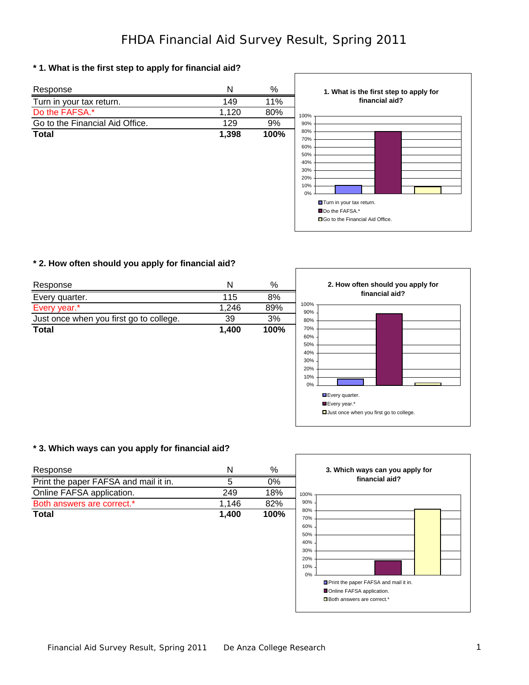## **\* 1. What is the first step to apply for financial aid?**



ſ

### **\* 2. How often should you apply for financial aid?**

| Response                                | Ν     | $\%$ |             | 2. How often should you apply for |                |  |
|-----------------------------------------|-------|------|-------------|-----------------------------------|----------------|--|
| Every quarter.                          | 115   | 8%   |             |                                   | financial aid? |  |
| Every year.*                            | 1.246 | 89%  | 100%<br>90% |                                   |                |  |
| Just once when you first go to college. | 39    | 3%   | 80%         |                                   |                |  |
| <b>Total</b>                            | 1,400 | 100% | 70%         |                                   |                |  |
|                                         |       |      | 60%<br>50%  |                                   |                |  |
|                                         |       |      |             |                                   |                |  |

| 100% |                                           |  |
|------|-------------------------------------------|--|
| 90%  |                                           |  |
| 80%  |                                           |  |
| 70%  |                                           |  |
| 60%  |                                           |  |
| 50%  |                                           |  |
| 40%  |                                           |  |
| 30%  |                                           |  |
| 20%  |                                           |  |
| 10%  |                                           |  |
| 0%   |                                           |  |
|      | Every quarter.                            |  |
|      |                                           |  |
|      | Every year.*                              |  |
|      | □ Just once when you first go to college. |  |

### **\* 3. Which ways can you apply for financial aid?**

| Response                              | N     | %    | 3. Which ways can you apply for                                                                                                                                |
|---------------------------------------|-------|------|----------------------------------------------------------------------------------------------------------------------------------------------------------------|
| Print the paper FAFSA and mail it in. | 5     | 0%   | financial aid?                                                                                                                                                 |
| Online FAFSA application.             | 249   | 18%  | 100%                                                                                                                                                           |
| Both answers are correct.*            | 1,146 | 82%  | 90%                                                                                                                                                            |
| <b>Total</b>                          | 1,400 | 100% | 80%<br>70%<br>60%<br>50%<br>40%<br>30%<br>20%<br>10%<br>0%<br>Print the paper FAFSA and mail it in.<br>Online FAFSA application.<br>Both answers are correct.* |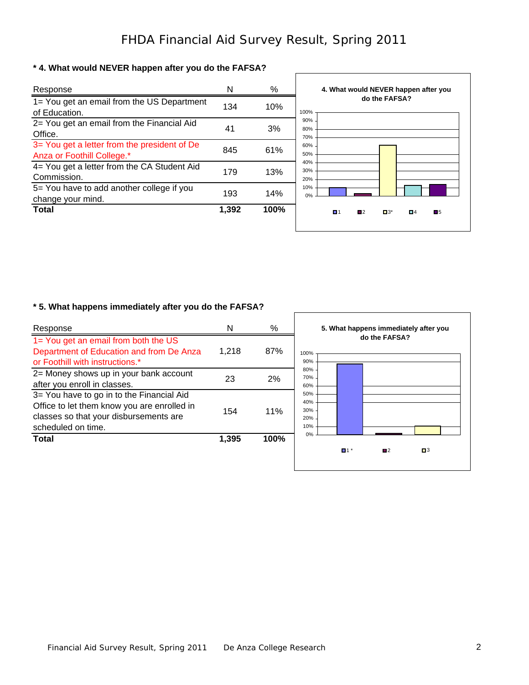# **\* 4. What would NEVER happen after you do the FAFSA?**

| Response                                                                   | N     | $\%$ | 4. What would NEVER happen after you                         |
|----------------------------------------------------------------------------|-------|------|--------------------------------------------------------------|
| 1= You get an email from the US Department<br>of Education.                | 134   | 10%  | do the FAFSA?<br>100%                                        |
| 2= You get an email from the Financial Aid<br>Office.                      | 41    | 3%   | 90%<br>80%<br>70%                                            |
| 3= You get a letter from the president of De<br>Anza or Foothill College.* | 845   | 61%  | 60%<br>50%                                                   |
| 4= You get a letter from the CA Student Aid<br>Commission.                 | 179   | 13%  | 40%<br>30%<br>20%                                            |
| 5= You have to add another college if you<br>change your mind.             | 193   | 14%  | 10%<br>0%                                                    |
| <b>Total</b>                                                               | 1,392 | 100% | $\blacksquare$<br>$\blacksquare$ 1<br>П2<br>$\Box 3^*$<br>■4 |
|                                                                            |       |      |                                                              |

# **\* 5. What happens immediately after you do the FAFSA?**

| Response                                                                                                                                                 | N     | %    | 5. What happens immediately after you    |
|----------------------------------------------------------------------------------------------------------------------------------------------------------|-------|------|------------------------------------------|
| 1= You get an email from both the US<br>Department of Education and from De Anza<br>or Foothill with instructions.*                                      | 1,218 | 87%  | do the FAFSA?<br>100%<br>90%             |
| 2= Money shows up in your bank account<br>after you enroll in classes.                                                                                   | 23    | 2%   | 80%<br>70%<br>60%                        |
| 3= You have to go in to the Financial Aid<br>Office to let them know you are enrolled in<br>classes so that your disbursements are<br>scheduled on time. | 154   | 11%  | 50%<br>40%<br>30%<br>20%<br>10%          |
| <b>Total</b>                                                                                                                                             | 1,395 | 100% | 0%<br>$\blacksquare$<br>1 *<br>$\square$ |
|                                                                                                                                                          |       |      |                                          |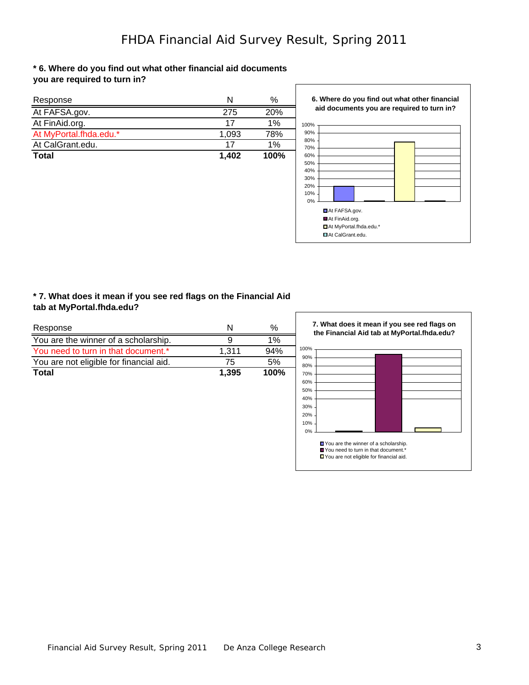$\sqrt{ }$ 

#### **\* 6. Where do you find out what other financial aid documents you are required to turn in?**

| Response               | N     | $\%$ |
|------------------------|-------|------|
| At FAFSA.gov.          | 275   | 20%  |
| At FinAid.org.         | 17    | 1%   |
| At MyPortal.fhda.edu.* | 1,093 | 78%  |
| At CalGrant.edu.       | 17    | 1%   |
| <b>Total</b>           | 1.402 | 100% |

**6. Where do you find out what other financial aid documents you are required to turn in?**



#### **\* 7. What does it mean if you see red flags on the Financial Aid tab at MyPortal.fhda.edu?**

| Response                                | N     | ℅    |
|-----------------------------------------|-------|------|
| You are the winner of a scholarship.    |       | 1%   |
| You need to turn in that document.*     | 1.311 | 94%  |
| You are not eligible for financial aid. | 75    | 5%   |
| Total                                   | 1.395 | 100% |

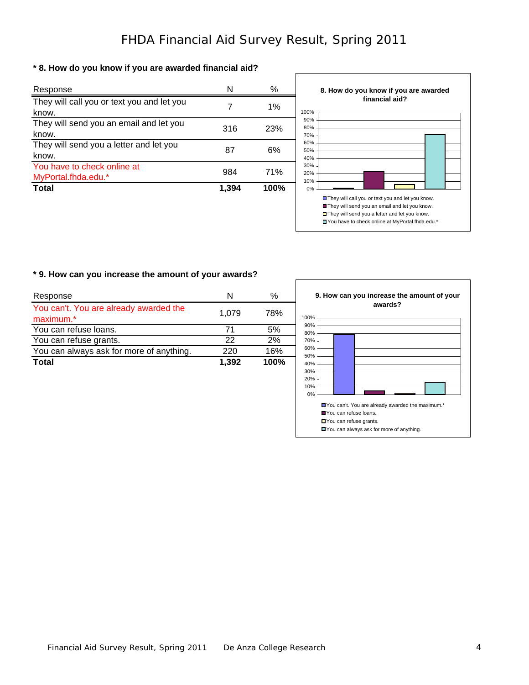$\Gamma$ 

### **\* 8. How do you know if you are awarded financial aid?**

| Response                                   | N     | ℅          |
|--------------------------------------------|-------|------------|
| They will call you or text you and let you |       | $1\%$      |
| know.                                      |       |            |
| They will send you an email and let you    | 316   | <b>23%</b> |
| know.                                      |       |            |
| They will send you a letter and let you    |       |            |
| know.                                      | 87    | 6%         |
| You have to check online at                |       |            |
| MyPortal.fhda.edu.*                        | 984   | 71%        |
| <b>Total</b>                               | 1,394 | 100%       |



#### **\* 9. How can you increase the amount of your awards?**

| Response                                            | N     | ℅    |
|-----------------------------------------------------|-------|------|
| You can't. You are already awarded the<br>maximum.* | 1.079 | 78%  |
| You can refuse loans.                               | 71    | 5%   |
| You can refuse grants.                              | 22    | 2%   |
| You can always ask for more of anything.            | 220   | 16%  |
| <b>Total</b>                                        | 1,392 | 100% |

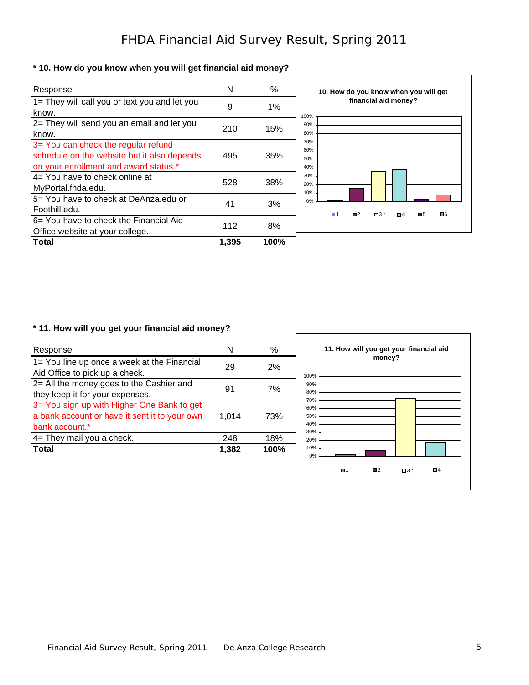## **\* 10. How do you know when you will get financial aid money?**

| Response                                                                                                                    | N     | %     | 10. How do you know when you will get                                     |
|-----------------------------------------------------------------------------------------------------------------------------|-------|-------|---------------------------------------------------------------------------|
| 1= They will call you or text you and let you<br>know.                                                                      | 9     | $1\%$ | financial aid money?<br>100%                                              |
| 2= They will send you an email and let you<br>know.                                                                         | 210   | 15%   | 90%<br>80%                                                                |
| 3= You can check the regular refund<br>schedule on the website but it also depends<br>on your enrollment and award status.* | 495   | 35%   | 70%<br>60%<br>50%<br>40%                                                  |
| $4=$ You have to check online at<br>MyPortal.fhda.edu.                                                                      | 528   | 38%   | 30%<br>20%<br>10%                                                         |
| 5= You have to check at DeAnza.edu or<br>Foothill.edu.                                                                      | 41    | 3%    | 0%<br>$\blacksquare$ 1<br>■6<br>$\Box$ 3 *<br>$\blacksquare$<br>■5<br>О 4 |
| 6= You have to check the Financial Aid<br>Office website at your college.                                                   | 112   | 8%    |                                                                           |
| Total                                                                                                                       | 1,395 | 100%  |                                                                           |

## **\* 11. How will you get your financial aid money?**

| Response                                                                                                      | N     | %    | 11. How will you get your financial aid                      |
|---------------------------------------------------------------------------------------------------------------|-------|------|--------------------------------------------------------------|
| 1= You line up once a week at the Financial<br>Aid Office to pick up a check.                                 | 29    | 2%   | money?<br>100%                                               |
| 2= All the money goes to the Cashier and<br>they keep it for your expenses.                                   | 91    | 7%   | 90%<br>80%                                                   |
| 3= You sign up with Higher One Bank to get<br>a bank account or have it sent it to your own<br>bank account.* | 1.014 | 73%  | 70%<br>60%<br>50%<br>40%                                     |
| 4= They mail you a check.                                                                                     | 248   | 18%  | 30%<br>20%                                                   |
| <b>Total</b>                                                                                                  | 1,382 | 100% | 10%<br>0%                                                    |
|                                                                                                               |       |      | $\blacksquare$<br>$\blacksquare$<br>Π4<br>$\blacksquare$ 3 * |
|                                                                                                               |       |      |                                                              |

 $\mathsf{r}$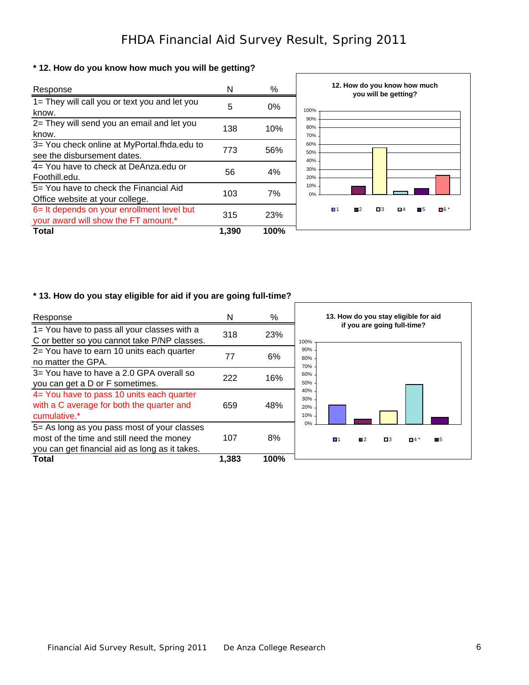$\Gamma$ 

## **\* 12. How do you know how much you will be getting?**

| Response                                                                           | N     | %     | 12. How do you know how much<br>you will be getting?                                               |
|------------------------------------------------------------------------------------|-------|-------|----------------------------------------------------------------------------------------------------|
| 1= They will call you or text you and let you<br>know.                             | 5     | $0\%$ | 100%                                                                                               |
| 2= They will send you an email and let you<br>know.                                | 138   | 10%   | 90%<br>80%<br>70%                                                                                  |
| 3= You check online at MyPortal.fhda.edu to<br>see the disbursement dates.         | 773   | 56%   | 60%<br>50%<br>40%                                                                                  |
| 4= You have to check at DeAnza.edu or<br>Foothill.edu.                             | 56    | 4%    | 30%<br>20%                                                                                         |
| 5 = You have to check the Financial Aid<br>Office website at your college.         | 103   | 7%    | 10%<br>0%                                                                                          |
| 6= It depends on your enrollment level but<br>your award will show the FT amount.* | 315   | 23%   | $\blacksquare$<br>$\blacksquare$ 3<br>$\blacksquare$ 6 *<br>Π4<br>$\blacksquare$<br>$\blacksquare$ |
| Total                                                                              | 1.390 | 100%  |                                                                                                    |

# **\* 13. How do you stay eligible for aid if you are going full-time?**

| Response                                                                                                                                   | N     | $\%$ | 13. How do you stay eligible for aid                               |
|--------------------------------------------------------------------------------------------------------------------------------------------|-------|------|--------------------------------------------------------------------|
| 1= You have to pass all your classes with a<br>C or better so you cannot take P/NP classes.                                                | 318   | 23%  | if you are going full-time?<br>100%                                |
| 2= You have to earn 10 units each quarter<br>no matter the GPA.                                                                            | 77    | 6%   | 90%<br>80%<br>70%                                                  |
| 3= You have to have a 2.0 GPA overall so<br>you can get a D or F sometimes.                                                                | 222   | 16%  | 60%<br>50%                                                         |
| 4= You have to pass 10 units each quarter<br>with a C average for both the quarter and<br>cumulative.*                                     | 659   | 48%  | 40%<br>30%<br>20%<br>10%                                           |
| 5= As long as you pass most of your classes<br>most of the time and still need the money<br>you can get financial aid as long as it takes. | 107   | 8%   | 0%<br>$\Box$ 1<br>$\blacksquare$<br>$\blacksquare$ 3<br>П5<br>П4 ° |
| Total                                                                                                                                      | 1,383 | 100% |                                                                    |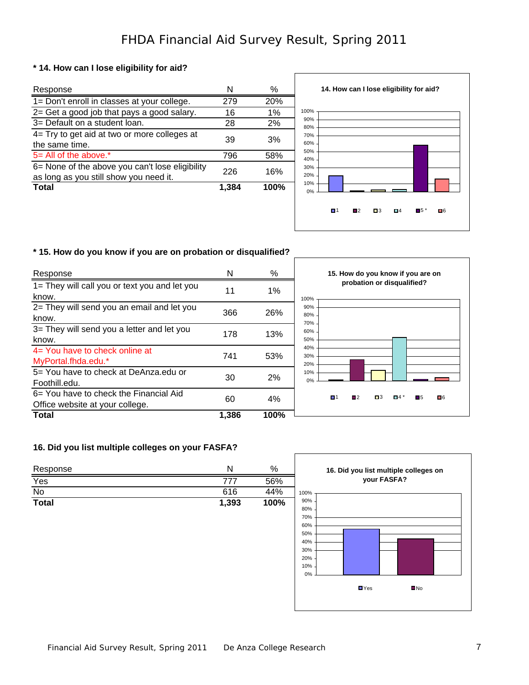### **\* 14. How can I lose eligibility for aid?**

| Response                                                                                  | N     | ℅    |
|-------------------------------------------------------------------------------------------|-------|------|
| 1= Don't enroll in classes at your college.                                               | 279   | 20%  |
| 2= Get a good job that pays a good salary.                                                | 16    | 1%   |
| 3= Default on a student loan.                                                             | 28    | 2%   |
| 4= Try to get aid at two or more colleges at<br>the same time.                            | 39    | 3%   |
| $5 =$ All of the above.*                                                                  | 796   | 58%  |
| 6= None of the above you can't lose eligibility<br>as long as you still show you need it. | 226   | 16%  |
| Total                                                                                     | 1.384 | 100% |



### **\* 15. How do you know if you are on probation or disqualified?**

| Response                                                                  | N     | %    | 15. How do you know if you are on<br>probation or disqualified?<br>100% |  |  |
|---------------------------------------------------------------------------|-------|------|-------------------------------------------------------------------------|--|--|
| 1= They will call you or text you and let you<br>know.                    | 11    | 1%   |                                                                         |  |  |
| 2= They will send you an email and let you<br>know.                       | 366   | 26%  | 90%<br>80%<br>70%                                                       |  |  |
| 3= They will send you a letter and let you<br>know.                       | 178   | 13%  | 60%<br>50%                                                              |  |  |
| $4=$ You have to check online at<br>MyPortal.fhda.edu.*                   | 741   | 53%  | 40%<br>30%<br>20%                                                       |  |  |
| 5= You have to check at DeAnza.edu or<br>Foothill.edu.                    | 30    | 2%   | 10%<br>0%                                                               |  |  |
| 6= You have to check the Financial Aid<br>Office website at your college. | 60    | 4%   | $\blacksquare$<br>■6<br>■4<br>П 1<br>Π5<br>$\blacksquare$               |  |  |
| Total                                                                     | 1,386 | 100% |                                                                         |  |  |

## **16. Did you list multiple colleges on your FASFA?**

| Response<br>$\sim$ |       | %    |
|--------------------|-------|------|
| Yes                | 777   | 56%  |
| No                 | 616   | 44%  |
| <b>Total</b>       | 1,393 | 100% |

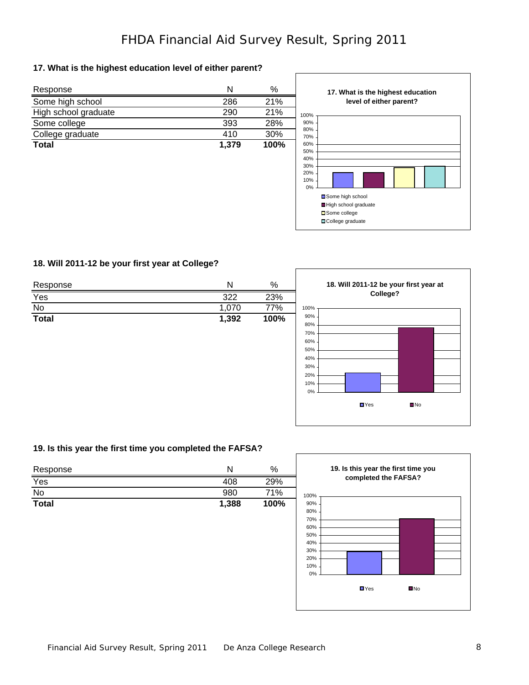### **17. What is the highest education level of either parent?**

| Response             | N     | %    |
|----------------------|-------|------|
| Some high school     | 286   | 21%  |
| High school graduate | 290   | 21%  |
| Some college         | 393   | 28%  |
| College graduate     | 410   | 30%  |
| <b>Total</b>         | 1,379 | 100% |
|                      |       |      |
|                      |       |      |
|                      |       |      |



## **18. Will 2011-12 be your first year at College?**

| Response     | N     | $\%$ | 18. Will 2011-12 be your first year at                                                                       |
|--------------|-------|------|--------------------------------------------------------------------------------------------------------------|
| Yes          | 322   | 23%  | College?                                                                                                     |
| No           | 1,070 | 77%  | 100%                                                                                                         |
| <b>Total</b> | 1,392 | 100% | 90%<br>80%<br>70%<br>60%<br>50%<br>40%<br>30%<br>20%<br>10%<br>0%<br>$\blacksquare$ Yes<br>$\blacksquare$ No |

Г

## **19. Is this year the first time you completed the FAFSA?**

| Response     | N     | %    | 19. Is this year the first time you                                                                   |  |  |
|--------------|-------|------|-------------------------------------------------------------------------------------------------------|--|--|
| Yes          | 408   | 29%  | completed the FAFSA?                                                                                  |  |  |
| No           | 980   | 71%  | 100%                                                                                                  |  |  |
| <b>Total</b> | 1,388 | 100% | 90%<br>80%<br>70%<br>60%<br>50%<br>40%<br>30%<br>20%<br>10%<br>0%<br>$\blacksquare$ Yes<br>$\n  No\n$ |  |  |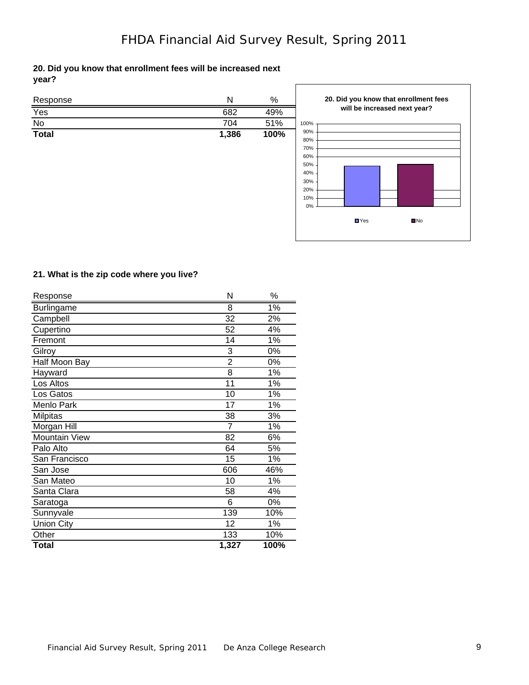|       | 20. Did you know that enrollment fees will be increased next |  |  |  |
|-------|--------------------------------------------------------------|--|--|--|
| year? |                                                              |  |  |  |

| Response         | N     | $\%$ |
|------------------|-------|------|
| $\frac{Yes}{No}$ | 682   | 49%  |
|                  | 704   | 51%  |
| <b>Total</b>     | 1,386 | 100% |
|                  |       |      |
|                  |       |      |
|                  |       |      |
|                  |       |      |
|                  |       |      |
|                  |       |      |
|                  |       |      |
|                  |       |      |
|                  |       |      |



#### **21. What is the zip code where you live?**

| Response             | N     | ℅    |
|----------------------|-------|------|
| <b>Burlingame</b>    | 8     | 1%   |
| Campbell             | 32    | 2%   |
| Cupertino            | 52    | 4%   |
| Fremont              | 14    | 1%   |
| Gilroy               | 3     | 0%   |
| Half Moon Bay        | 2     | 0%   |
| Hayward              | 8     | 1%   |
| Los Altos            | 11    | 1%   |
| Los Gatos            | 10    | 1%   |
| Menlo Park           | 17    | 1%   |
| <b>Milpitas</b>      | 38    | 3%   |
| Morgan Hill          | 7     | 1%   |
| <b>Mountain View</b> | 82    | 6%   |
| Palo Alto            | 64    | 5%   |
| San Francisco        | 15    | 1%   |
| San Jose             | 606   | 46%  |
| San Mateo            | 10    | 1%   |
| Santa Clara          | 58    | 4%   |
| Saratoga             | 6     | 0%   |
| Sunnyvale            | 139   | 10%  |
| <b>Union City</b>    | 12    | 1%   |
| Other                | 133   | 10%  |
| Total                | 1,327 | 100% |